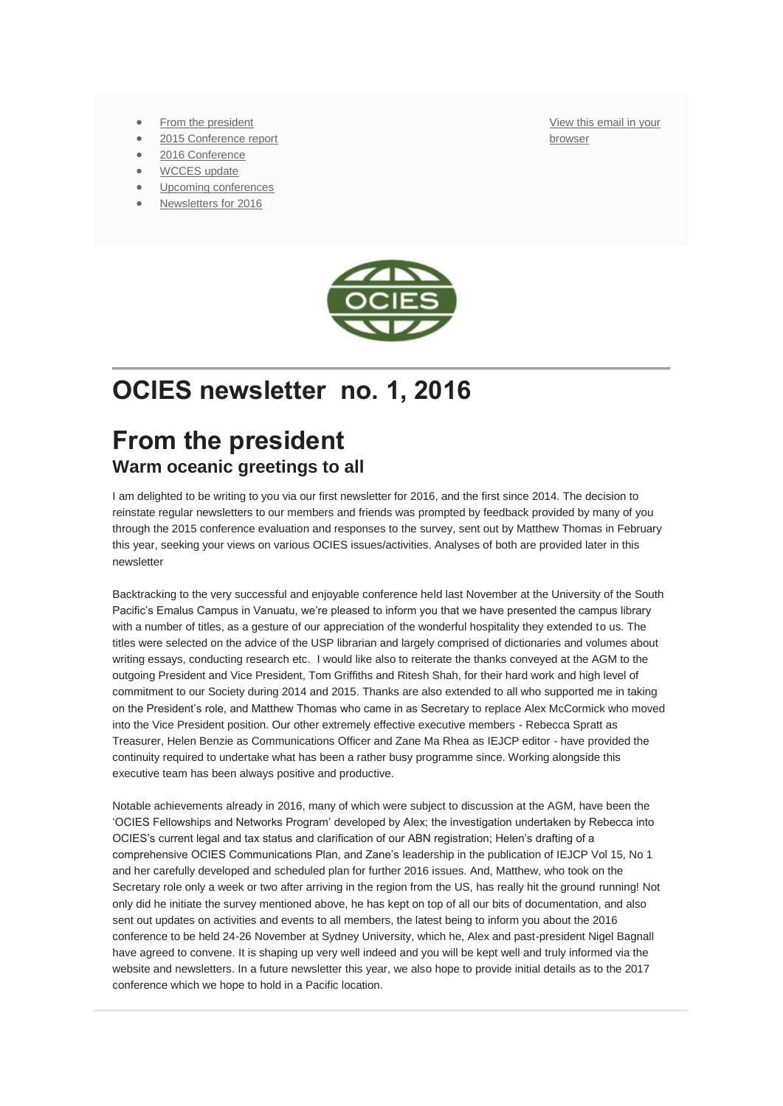- [From the president](https://us12.admin.mailchimp.com/campaigns/preview-content-html?id=240417#mctoc1)
- [2015 Conference report](https://us12.admin.mailchimp.com/campaigns/preview-content-html?id=240417#mctoc2)
- [2016 Conference](https://us12.admin.mailchimp.com/campaigns/preview-content-html?id=240417#mctoc3)
- [WCCES update](https://us12.admin.mailchimp.com/campaigns/preview-content-html?id=240417#mctoc4)
- [Upcoming conferences](https://us12.admin.mailchimp.com/campaigns/preview-content-html?id=240417#mctoc5)
- [Newsletters for 2016](https://us12.admin.mailchimp.com/campaigns/preview-content-html?id=240417#mctoc6)

[View this email in your](http://us12.campaign-archive1.com/?u=75aaa32624fb8c2752ce4c1e0&id=fb650888e6&e=%5bUNIQID%5d)  [browser](http://us12.campaign-archive1.com/?u=75aaa32624fb8c2752ce4c1e0&id=fb650888e6&e=%5bUNIQID%5d)



## **OCIES newsletter no. 1, 2016**

#### **From the president Warm oceanic greetings to all**

I am delighted to be writing to you via our first newsletter for 2016, and the first since 2014. The decision to reinstate regular newsletters to our members and friends was prompted by feedback provided by many of you through the 2015 conference evaluation and responses to the survey, sent out by Matthew Thomas in February this year, seeking your views on various OCIES issues/activities. Analyses of both are provided later in this newsletter

Backtracking to the very successful and enjoyable conference held last November at the University of the South Pacific's Emalus Campus in Vanuatu, we're pleased to inform you that we have presented the campus library with a number of titles, as a gesture of our appreciation of the wonderful hospitality they extended to us. The titles were selected on the advice of the USP librarian and largely comprised of dictionaries and volumes about writing essays, conducting research etc. I would like also to reiterate the thanks conveyed at the AGM to the outgoing President and Vice President, Tom Griffiths and Ritesh Shah, for their hard work and high level of commitment to our Society during 2014 and 2015. Thanks are also extended to all who supported me in taking on the President's role, and Matthew Thomas who came in as Secretary to replace Alex McCormick who moved into the Vice President position. Our other extremely effective executive members - Rebecca Spratt as Treasurer, Helen Benzie as Communications Officer and Zane Ma Rhea as IEJCP editor - have provided the continuity required to undertake what has been a rather busy programme since. Working alongside this executive team has been always positive and productive.

Notable achievements already in 2016, many of which were subject to discussion at the AGM, have been the 'OCIES Fellowships and Networks Program' developed by Alex; the investigation undertaken by Rebecca into OCIES's current legal and tax status and clarification of our ABN registration; Helen's drafting of a comprehensive OCIES Communications Plan, and Zane's leadership in the publication of IEJCP Vol 15, No 1 and her carefully developed and scheduled plan for further 2016 issues. And, Matthew, who took on the Secretary role only a week or two after arriving in the region from the US, has really hit the ground running! Not only did he initiate the survey mentioned above, he has kept on top of all our bits of documentation, and also sent out updates on activities and events to all members, the latest being to inform you about the 2016 conference to be held 24-26 November at Sydney University, which he, Alex and past-president Nigel Bagnall have agreed to convene. It is shaping up very well indeed and you will be kept well and truly informed via the website and newsletters. In a future newsletter this year, we also hope to provide initial details as to the 2017 conference which we hope to hold in a Pacific location.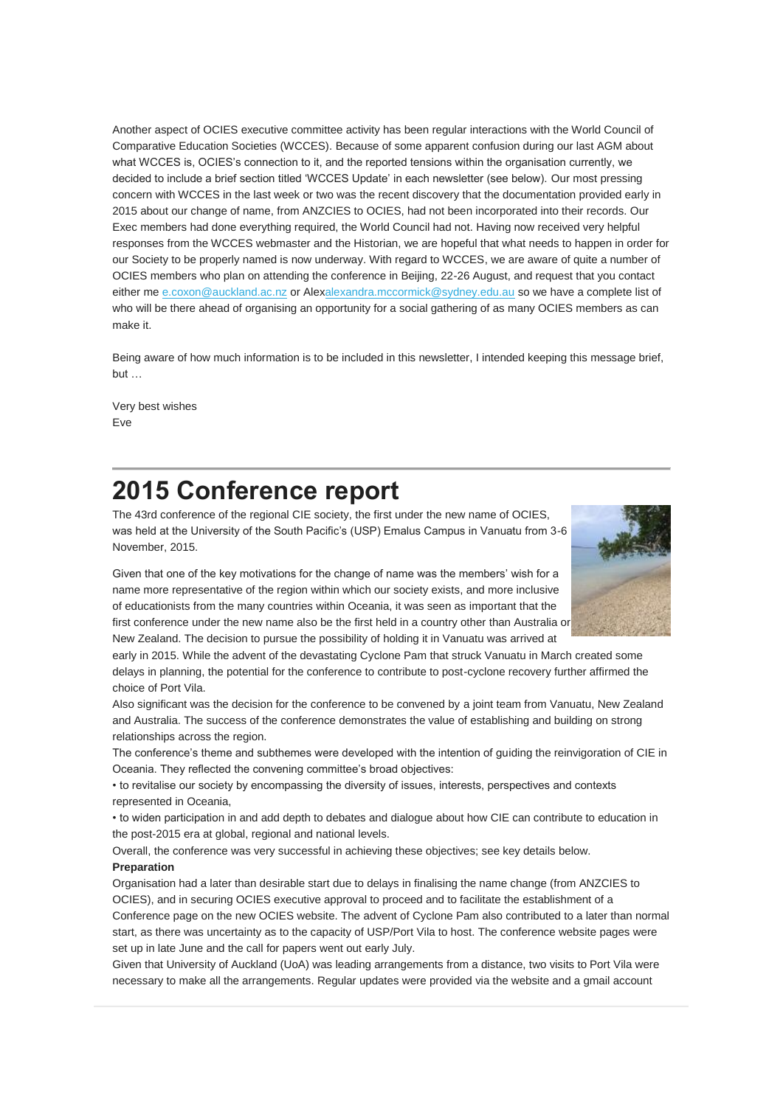Another aspect of OCIES executive committee activity has been regular interactions with the World Council of Comparative Education Societies (WCCES). Because of some apparent confusion during our last AGM about what WCCES is, OCIES's connection to it, and the reported tensions within the organisation currently, we decided to include a brief section titled 'WCCES Update' in each newsletter (see below). Our most pressing concern with WCCES in the last week or two was the recent discovery that the documentation provided early in 2015 about our change of name, from ANZCIES to OCIES, had not been incorporated into their records. Our Exec members had done everything required, the World Council had not. Having now received very helpful responses from the WCCES webmaster and the Historian, we are hopeful that what needs to happen in order for our Society to be properly named is now underway. With regard to WCCES, we are aware of quite a number of OCIES members who plan on attending the conference in Beijing, 22-26 August, and request that you contact either me [e.coxon@auckland.ac.nz](http://e.coxon@auckland.ac.nz/) or Ale[xalexandra.mccormick@sydney.edu.au](mailto:alexandra.mccormick@sydney.edu.au) so we have a complete list of who will be there ahead of organising an opportunity for a social gathering of as many OCIES members as can make it.

Being aware of how much information is to be included in this newsletter, I intended keeping this message brief, but …

Very best wishes Eve

## **2015 Conference report**

The 43rd conference of the regional CIE society, the first under the new name of OCIES, was held at the University of the South Pacific's (USP) Emalus Campus in Vanuatu from 3-6 November, 2015.

Given that one of the key motivations for the change of name was the members' wish for a name more representative of the region within which our society exists, and more inclusive of educationists from the many countries within Oceania, it was seen as important that the first conference under the new name also be the first held in a country other than Australia or New Zealand. The decision to pursue the possibility of holding it in Vanuatu was arrived at



early in 2015. While the advent of the devastating Cyclone Pam that struck Vanuatu in March created some delays in planning, the potential for the conference to contribute to post-cyclone recovery further affirmed the choice of Port Vila.

Also significant was the decision for the conference to be convened by a joint team from Vanuatu, New Zealand and Australia. The success of the conference demonstrates the value of establishing and building on strong relationships across the region.

The conference's theme and subthemes were developed with the intention of guiding the reinvigoration of CIE in Oceania. They reflected the convening committee's broad objectives:

• to revitalise our society by encompassing the diversity of issues, interests, perspectives and contexts represented in Oceania,

• to widen participation in and add depth to debates and dialogue about how CIE can contribute to education in the post-2015 era at global, regional and national levels.

Overall, the conference was very successful in achieving these objectives; see key details below. **Preparation**

Organisation had a later than desirable start due to delays in finalising the name change (from ANZCIES to OCIES), and in securing OCIES executive approval to proceed and to facilitate the establishment of a Conference page on the new OCIES website. The advent of Cyclone Pam also contributed to a later than normal start, as there was uncertainty as to the capacity of USP/Port Vila to host. The conference website pages were set up in late June and the call for papers went out early July.

Given that University of Auckland (UoA) was leading arrangements from a distance, two visits to Port Vila were necessary to make all the arrangements. Regular updates were provided via the website and a gmail account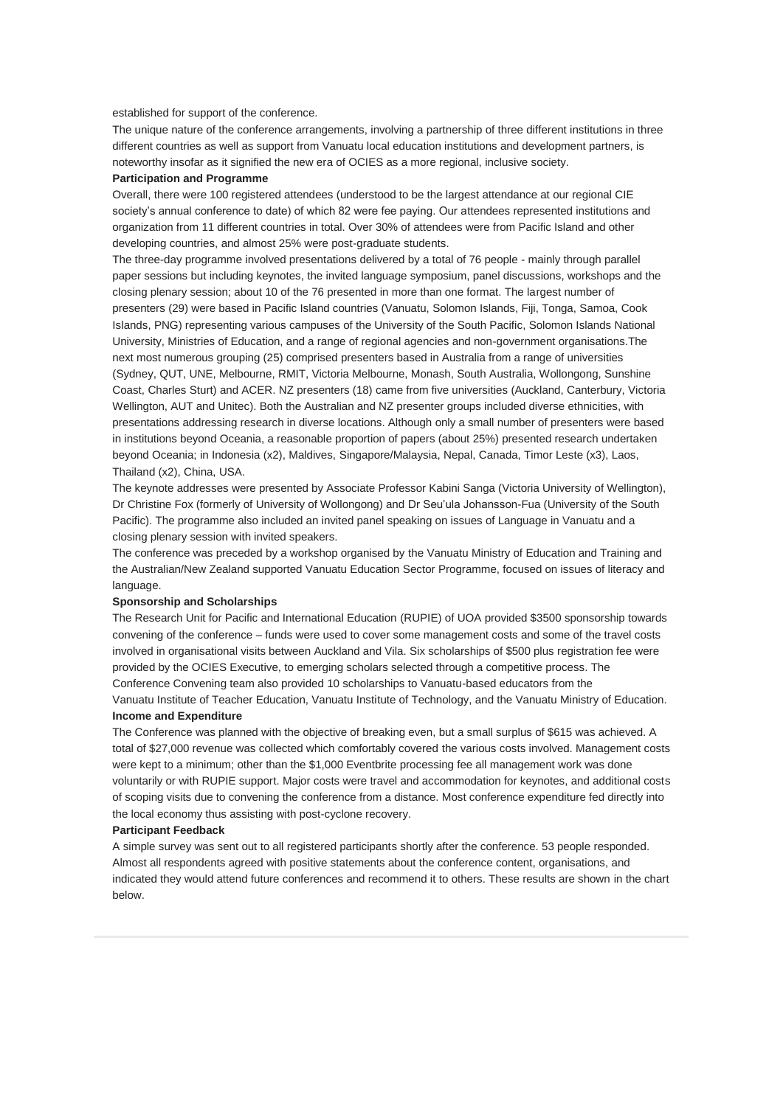#### established for support of the conference.

The unique nature of the conference arrangements, involving a partnership of three different institutions in three different countries as well as support from Vanuatu local education institutions and development partners, is noteworthy insofar as it signified the new era of OCIES as a more regional, inclusive society.

#### **Participation and Programme**

Overall, there were 100 registered attendees (understood to be the largest attendance at our regional CIE society's annual conference to date) of which 82 were fee paying. Our attendees represented institutions and organization from 11 different countries in total. Over 30% of attendees were from Pacific Island and other developing countries, and almost 25% were post-graduate students.

The three-day programme involved presentations delivered by a total of 76 people - mainly through parallel paper sessions but including keynotes, the invited language symposium, panel discussions, workshops and the closing plenary session; about 10 of the 76 presented in more than one format. The largest number of presenters (29) were based in Pacific Island countries (Vanuatu, Solomon Islands, Fiji, Tonga, Samoa, Cook Islands, PNG) representing various campuses of the University of the South Pacific, Solomon Islands National University, Ministries of Education, and a range of regional agencies and non-government organisations.The next most numerous grouping (25) comprised presenters based in Australia from a range of universities (Sydney, QUT, UNE, Melbourne, RMIT, Victoria Melbourne, Monash, South Australia, Wollongong, Sunshine Coast, Charles Sturt) and ACER. NZ presenters (18) came from five universities (Auckland, Canterbury, Victoria Wellington, AUT and Unitec). Both the Australian and NZ presenter groups included diverse ethnicities, with presentations addressing research in diverse locations. Although only a small number of presenters were based in institutions beyond Oceania, a reasonable proportion of papers (about 25%) presented research undertaken beyond Oceania; in Indonesia (x2), Maldives, Singapore/Malaysia, Nepal, Canada, Timor Leste (x3), Laos, Thailand (x2), China, USA.

The keynote addresses were presented by Associate Professor Kabini Sanga (Victoria University of Wellington), Dr Christine Fox (formerly of University of Wollongong) and Dr Seu'ula Johansson-Fua (University of the South Pacific). The programme also included an invited panel speaking on issues of Language in Vanuatu and a closing plenary session with invited speakers.

The conference was preceded by a workshop organised by the Vanuatu Ministry of Education and Training and the Australian/New Zealand supported Vanuatu Education Sector Programme, focused on issues of literacy and language.

#### **Sponsorship and Scholarships**

The Research Unit for Pacific and International Education (RUPIE) of UOA provided \$3500 sponsorship towards convening of the conference – funds were used to cover some management costs and some of the travel costs involved in organisational visits between Auckland and Vila. Six scholarships of \$500 plus registration fee were provided by the OCIES Executive, to emerging scholars selected through a competitive process. The Conference Convening team also provided 10 scholarships to Vanuatu-based educators from the Vanuatu Institute of Teacher Education, Vanuatu Institute of Technology, and the Vanuatu Ministry of Education. **Income and Expenditure**

The Conference was planned with the objective of breaking even, but a small surplus of \$615 was achieved. A total of \$27,000 revenue was collected which comfortably covered the various costs involved. Management costs were kept to a minimum; other than the \$1,000 Eventbrite processing fee all management work was done voluntarily or with RUPIE support. Major costs were travel and accommodation for keynotes, and additional costs of scoping visits due to convening the conference from a distance. Most conference expenditure fed directly into the local economy thus assisting with post-cyclone recovery.

#### **Participant Feedback**

A simple survey was sent out to all registered participants shortly after the conference. 53 people responded. Almost all respondents agreed with positive statements about the conference content, organisations, and indicated they would attend future conferences and recommend it to others. These results are shown in the chart below.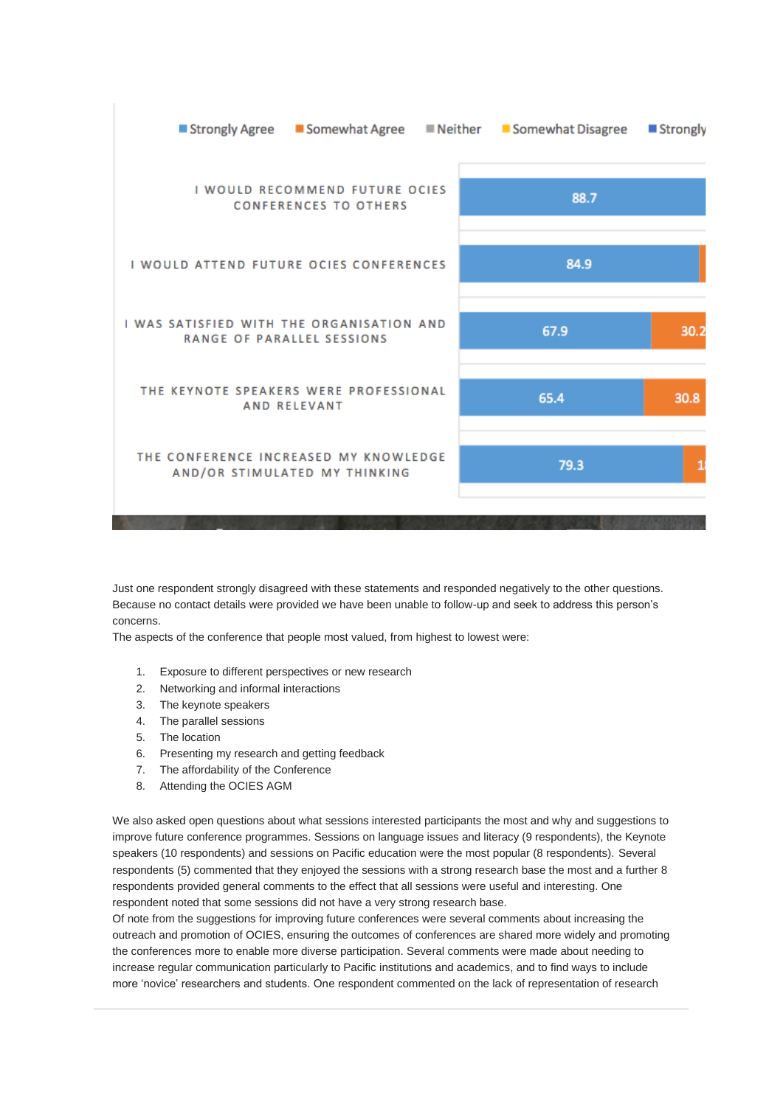

Just one respondent strongly disagreed with these statements and responded negatively to the other questions. Because no contact details were provided we have been unable to follow-up and seek to address this person's concerns.

The aspects of the conference that people most valued, from highest to lowest were:

- 1. Exposure to different perspectives or new research
- 2. Networking and informal interactions
- 3. The keynote speakers
- 4. The parallel sessions
- 5. The location
- 6. Presenting my research and getting feedback
- 7. The affordability of the Conference
- 8. Attending the OCIES AGM

We also asked open questions about what sessions interested participants the most and why and suggestions to improve future conference programmes. Sessions on language issues and literacy (9 respondents), the Keynote speakers (10 respondents) and sessions on Pacific education were the most popular (8 respondents). Several respondents (5) commented that they enjoyed the sessions with a strong research base the most and a further 8 respondents provided general comments to the effect that all sessions were useful and interesting. One respondent noted that some sessions did not have a very strong research base.

Of note from the suggestions for improving future conferences were several comments about increasing the outreach and promotion of OCIES, ensuring the outcomes of conferences are shared more widely and promoting the conferences more to enable more diverse participation. Several comments were made about needing to increase regular communication particularly to Pacific institutions and academics, and to find ways to include more 'novice' researchers and students. One respondent commented on the lack of representation of research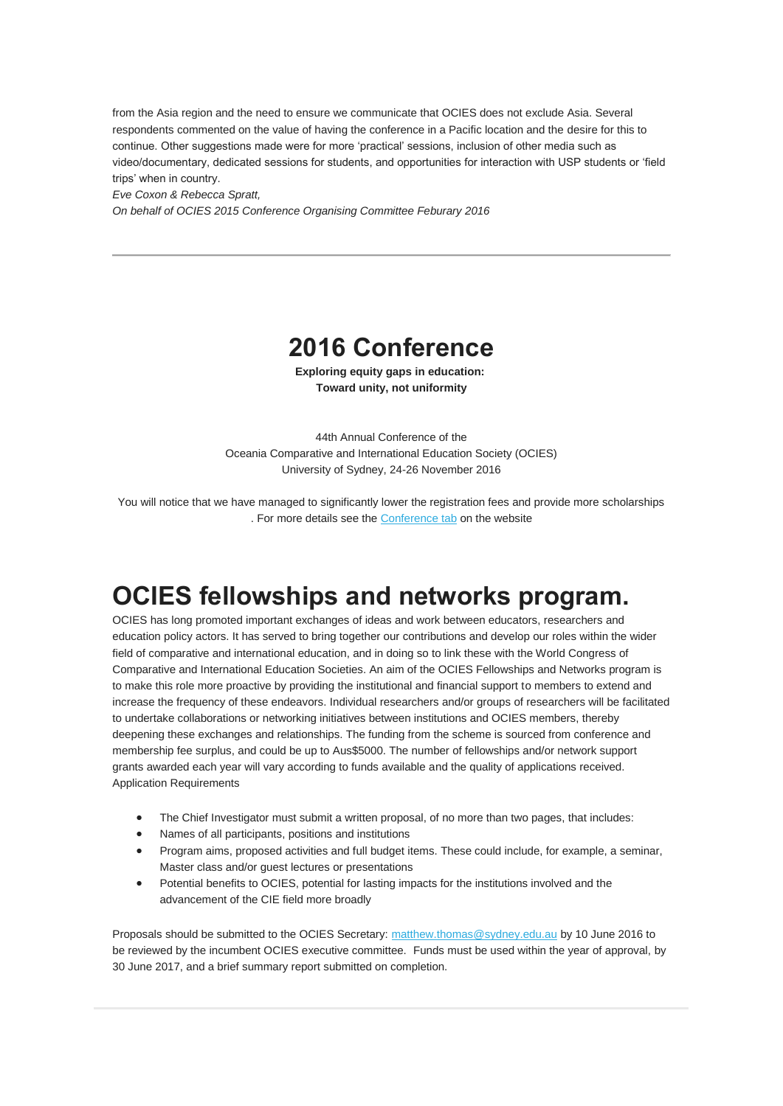from the Asia region and the need to ensure we communicate that OCIES does not exclude Asia. Several respondents commented on the value of having the conference in a Pacific location and the desire for this to continue. Other suggestions made were for more 'practical' sessions, inclusion of other media such as video/documentary, dedicated sessions for students, and opportunities for interaction with USP students or 'field trips' when in country.

*Eve Coxon & Rebecca Spratt,*

*On behalf of OCIES 2015 Conference Organising Committee Feburary 2016*

#### **2016 Conference**

**Exploring equity gaps in education: Toward unity, not uniformity**

44th Annual Conference of the Oceania Comparative and International Education Society (OCIES) University of Sydney, 24-26 November 2016

You will notice that we have managed to significantly lower the registration fees and provide more scholarships . For more details see the [Conference tab](http://www.ocies.org/conference) on the website

## **OCIES fellowships and networks program.**

OCIES has long promoted important exchanges of ideas and work between educators, researchers and education policy actors. It has served to bring together our contributions and develop our roles within the wider field of comparative and international education, and in doing so to link these with the World Congress of Comparative and International Education Societies. An aim of the OCIES Fellowships and Networks program is to make this role more proactive by providing the institutional and financial support to members to extend and increase the frequency of these endeavors. Individual researchers and/or groups of researchers will be facilitated to undertake collaborations or networking initiatives between institutions and OCIES members, thereby deepening these exchanges and relationships. The funding from the scheme is sourced from conference and membership fee surplus, and could be up to Aus\$5000. The number of fellowships and/or network support grants awarded each year will vary according to funds available and the quality of applications received. Application Requirements

- The Chief Investigator must submit a written proposal, of no more than two pages, that includes:
- Names of all participants, positions and institutions
- Program aims, proposed activities and full budget items. These could include, for example, a seminar, Master class and/or guest lectures or presentations
- Potential benefits to OCIES, potential for lasting impacts for the institutions involved and the advancement of the CIE field more broadly

Proposals should be submitted to the OCIES Secretary: [matthew.thomas@sydney.edu.au](mailto:matthew.thomas@sydney.edu.au) by 10 June 2016 to be reviewed by the incumbent OCIES executive committee. Funds must be used within the year of approval, by 30 June 2017, and a brief summary report submitted on completion.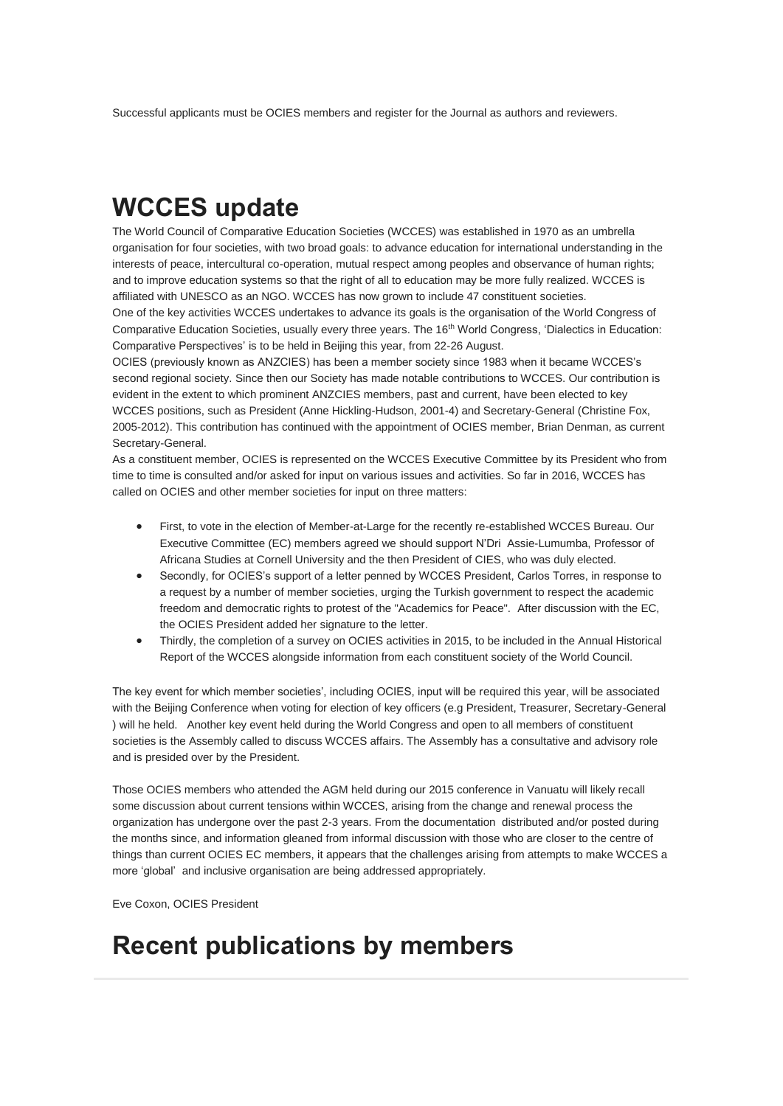Successful applicants must be OCIES members and register for the Journal as authors and reviewers.

# **WCCES update**

The World Council of Comparative Education Societies (WCCES) was established in 1970 as an umbrella organisation for four societies, with two broad goals: to advance education for international understanding in the interests of peace, intercultural co-operation, mutual respect among peoples and observance of human rights; and to improve education systems so that the right of all to education may be more fully realized. WCCES is affiliated with UNESCO as an NGO. WCCES has now grown to include 47 constituent societies. One of the key activities WCCES undertakes to advance its goals is the organisation of the World Congress of Comparative Education Societies, usually every three years. The 16<sup>th</sup> World Congress, 'Dialectics in Education: Comparative Perspectives' is to be held in Beijing this year, from 22-26 August.

OCIES (previously known as ANZCIES) has been a member society since 1983 when it became WCCES's second regional society. Since then our Society has made notable contributions to WCCES. Our contribution is evident in the extent to which prominent ANZCIES members, past and current, have been elected to key WCCES positions, such as President (Anne Hickling-Hudson, 2001-4) and Secretary-General (Christine Fox, 2005-2012). This contribution has continued with the appointment of OCIES member, Brian Denman, as current Secretary-General.

As a constituent member, OCIES is represented on the WCCES Executive Committee by its President who from time to time is consulted and/or asked for input on various issues and activities. So far in 2016, WCCES has called on OCIES and other member societies for input on three matters:

- First, to vote in the election of Member-at-Large for the recently re-established WCCES Bureau. Our Executive Committee (EC) members agreed we should support N'Dri Assie-Lumumba, Professor of Africana Studies at Cornell University and the then President of CIES, who was duly elected.
- Secondly, for OCIES's support of a letter penned by WCCES President, Carlos Torres, in response to a request by a number of member societies, urging the Turkish government to respect the academic freedom and democratic rights to protest of the "Academics for Peace". After discussion with the EC, the OCIES President added her signature to the letter.
- Thirdly, the completion of a survey on OCIES activities in 2015, to be included in the Annual Historical Report of the WCCES alongside information from each constituent society of the World Council.

The key event for which member societies', including OCIES, input will be required this year, will be associated with the Beijing Conference when voting for election of key officers (e.g President, Treasurer, Secretary-General ) will he held. Another key event held during the World Congress and open to all members of constituent societies is the Assembly called to discuss WCCES affairs. The Assembly has a consultative and advisory role and is presided over by the President.

Those OCIES members who attended the AGM held during our 2015 conference in Vanuatu will likely recall some discussion about current tensions within WCCES, arising from the change and renewal process the organization has undergone over the past 2-3 years. From the documentation distributed and/or posted during the months since, and information gleaned from informal discussion with those who are closer to the centre of things than current OCIES EC members, it appears that the challenges arising from attempts to make WCCES a more 'global' and inclusive organisation are being addressed appropriately.

Eve Coxon, OCIES President

## **Recent publications by members**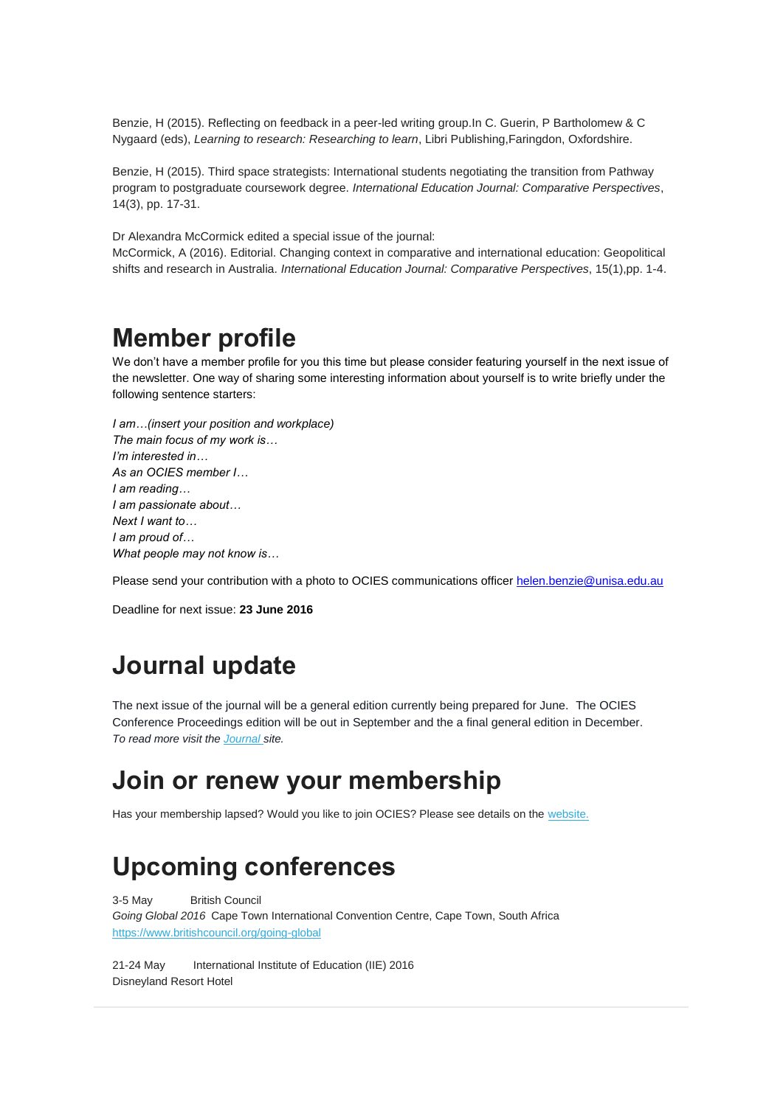Benzie, H (2015). Reflecting on feedback in a peer-led writing group.In C. Guerin, P Bartholomew & C Nygaard (eds), *Learning to research: Researching to learn*, Libri Publishing,Faringdon, Oxfordshire.

Benzie, H (2015). Third space strategists: International students negotiating the transition from Pathway program to postgraduate coursework degree. *International Education Journal: Comparative Perspectives*, 14(3), pp. 17-31.

Dr Alexandra McCormick edited a special issue of the journal:

McCormick, A (2016). Editorial. Changing context in comparative and international education: Geopolitical shifts and research in Australia. *International Education Journal: Comparative Perspectives*, 15(1),pp. 1-4.

### **Member profile**

We don't have a member profile for you this time but please consider featuring yourself in the next issue of the newsletter. One way of sharing some interesting information about yourself is to write briefly under the following sentence starters:

*I am…(insert your position and workplace) The main focus of my work is… I'm interested in… As an OCIES member I… I am reading… I am passionate about… Next I want to… I am proud of… What people may not know is…*

Please send your contribution with a photo to OCIES communications officer [helen.benzie@unisa.edu.au](mailto:helen.benzie@unisa.edu.au)

Deadline for next issue: **23 June 2016**

## **Journal update**

The next issue of the journal will be a general edition currently being prepared for June. The OCIES Conference Proceedings edition will be out in September and the a final general edition in December. *To read more visit the [Journal](http://openjournals.library.usyd.edu.au/index.php/IEJ) site.*

## **Join or renew your membership**

Has your membership lapsed? Would you like to join OCIES? Please see details on the [website.](https://ocies.org/members-area/members-login/)

# **Upcoming conferences**

3-5 May British Council *Going Global 2016* Cape Town International Convention Centre, Cape Town, South Africa <https://www.britishcouncil.org/going-global>

21-24 May International Institute of Education (IIE) 2016 Disneyland Resort Hotel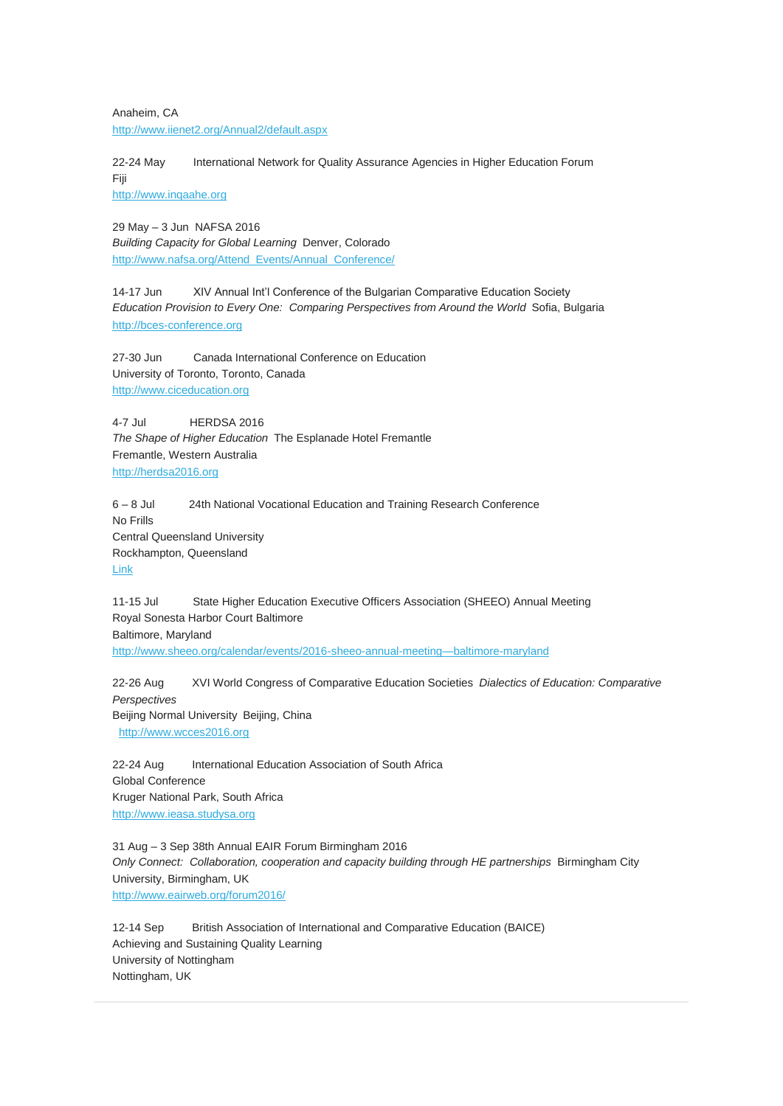Anaheim, CA <http://www.iienet2.org/Annual2/default.aspx>

22-24 May International Network for Quality Assurance Agencies in Higher Education Forum Fiji [http://www.inqaahe.org](http://www.inqaahe.org/)

29 May – 3 Jun NAFSA 2016 *Building Capacity for Global Learning* Denver, Colorado [http://www.nafsa.org/Attend\\_Events/Annual\\_Conference/](http://www.nafsa.org/Attend_Events/Annual_Conference/)

14-17 Jun XIV Annual Int'l Conference of the Bulgarian Comparative Education Society *Education Provision to Every One: Comparing Perspectives from Around the World* Sofia, Bulgaria [http://bces-conference.org](http://bces-conference.org/)

27-30 Jun Canada International Conference on Education University of Toronto, Toronto, Canada [http://www.ciceducation.org](http://www.ciceducation.org/)

4-7 Jul HERDSA 2016 *The Shape of Higher Education* The Esplanade Hotel Fremantle Fremantle, Western Australia [http://herdsa2016.org](http://herdsa2016.org/)

6 – 8 Jul 24th National Vocational Education and Training Research Conference No Frills Central Queensland University Rockhampton, Queensland [Link](https://www.ncver.edu.au/wps/portal/vetdataportal/restricted/newsEventsOpinionpieces/!ut/p/a0/hY_BTsMwEER_xRx6jNZx6iQ-IqrK7QWJgpT4Ujn20hrQpnVMCn9PCPSIOM281Y5GAwYaMGTHcLAp9GTfvtmU-00u7rRe8u291iXfVOvHh51-KriU0EJrqj8fVgJ2YMCcXPDQdr7Oy1KKzCvvsqUSRdapIs8qhZ23taqkRdj-19hAG17OZ3MLxvWU8CNBQ27EuJ-R0oLPOAleBmbJMxyn87DgVxUyHRn9bmRj764W_fuPn2Mp2kCBDizigDa6I5sanjEiOYTTq-3qz8vNF8MVTvo!/)

11-15 Jul State Higher Education Executive Officers Association (SHEEO) Annual Meeting Royal Sonesta Harbor Court Baltimore Baltimore, Maryland [http://www.sheeo.org/calendar/events/2016-sheeo-annual-meeting—baltimore-maryland](http://www.sheeo.org/calendar/events/2016-sheeo-annual-meeting%E2%80%94baltimore-maryland)

22-26 Aug XVI World Congress of Comparative Education Societies *Dialectics of Education: Comparative Perspectives* Beijing Normal University Beijing, China [http://www.wcces2016.org](http://www.wcces2016.org/)

22-24 Aug International Education Association of South Africa Global Conference Kruger National Park, South Africa [http://www.ieasa.studysa.org](http://www.ieasa.studysa.org/)

31 Aug – 3 Sep 38th Annual EAIR Forum Birmingham 2016 *Only Connect: Collaboration, cooperation and capacity building through HE partnerships* Birmingham City University, Birmingham, UK <http://www.eairweb.org/forum2016/>

12-14 Sep British Association of International and Comparative Education (BAICE) Achieving and Sustaining Quality Learning University of Nottingham Nottingham, UK